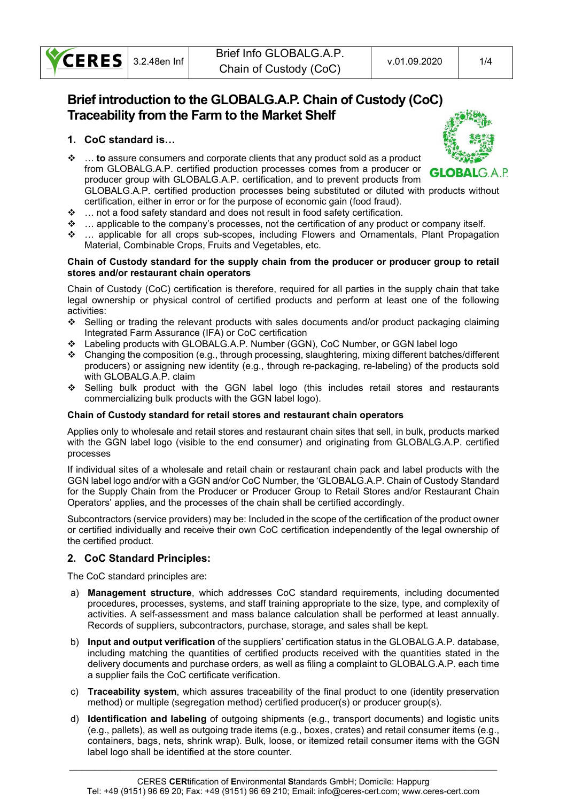

# Brief introduction to the GLOBALG.A.P. Chain of Custody (CoC) Traceability from the Farm to the Market Shelf

## 1. CoC standard is…

 $\cdot \cdot \cdot$  ... to assure consumers and corporate clients that any product sold as a product from GLOBALG.A.P. certified production processes comes from a producer or producer group with GLOBALG.A.P. certification, and to prevent products from



GLOBALG.A.P. certified production processes being substituted or diluted with products without certification, either in error or for the purpose of economic gain (food fraud).

- … not a food safety standard and does not result in food safety certification.
- … applicable to the company's processes, not the certification of any product or company itself.
- … applicable for all crops sub-scopes, including Flowers and Ornamentals, Plant Propagation Material, Combinable Crops, Fruits and Vegetables, etc.

#### Chain of Custody standard for the supply chain from the producer or producer group to retail stores and/or restaurant chain operators

Chain of Custody (CoC) certification is therefore, required for all parties in the supply chain that take legal ownership or physical control of certified products and perform at least one of the following activities:

- Selling or trading the relevant products with sales documents and/or product packaging claiming Integrated Farm Assurance (IFA) or CoC certification
- Labeling products with GLOBALG.A.P. Number (GGN), CoC Number, or GGN label logo
- $\bullet$  Changing the composition (e.g., through processing, slaughtering, mixing different batches/different producers) or assigning new identity (e.g., through re-packaging, re-labeling) of the products sold with GLOBALG.A.P. claim
- Selling bulk product with the GGN label logo (this includes retail stores and restaurants commercializing bulk products with the GGN label logo).

## Chain of Custody standard for retail stores and restaurant chain operators

Applies only to wholesale and retail stores and restaurant chain sites that sell, in bulk, products marked with the GGN label logo (visible to the end consumer) and originating from GLOBALG.A.P. certified processes

If individual sites of a wholesale and retail chain or restaurant chain pack and label products with the GGN label logo and/or with a GGN and/or CoC Number, the 'GLOBALG.A.P. Chain of Custody Standard for the Supply Chain from the Producer or Producer Group to Retail Stores and/or Restaurant Chain Operators' applies, and the processes of the chain shall be certified accordingly.

Subcontractors (service providers) may be: Included in the scope of the certification of the product owner or certified individually and receive their own CoC certification independently of the legal ownership of the certified product.

# 2. CoC Standard Principles:

The CoC standard principles are:

- a) Management structure, which addresses CoC standard requirements, including documented procedures, processes, systems, and staff training appropriate to the size, type, and complexity of activities. A self-assessment and mass balance calculation shall be performed at least annually. Records of suppliers, subcontractors, purchase, storage, and sales shall be kept.
- b) Input and output verification of the suppliers' certification status in the GLOBALG.A.P. database, including matching the quantities of certified products received with the quantities stated in the delivery documents and purchase orders, as well as filing a complaint to GLOBALG.A.P. each time a supplier fails the CoC certificate verification.
- c) Traceability system, which assures traceability of the final product to one (identity preservation method) or multiple (segregation method) certified producer(s) or producer group(s).
- d) Identification and labeling of outgoing shipments (e.g., transport documents) and logistic units (e.g., pallets), as well as outgoing trade items (e.g., boxes, crates) and retail consumer items (e.g., containers, bags, nets, shrink wrap). Bulk, loose, or itemized retail consumer items with the GGN label logo shall be identified at the store counter.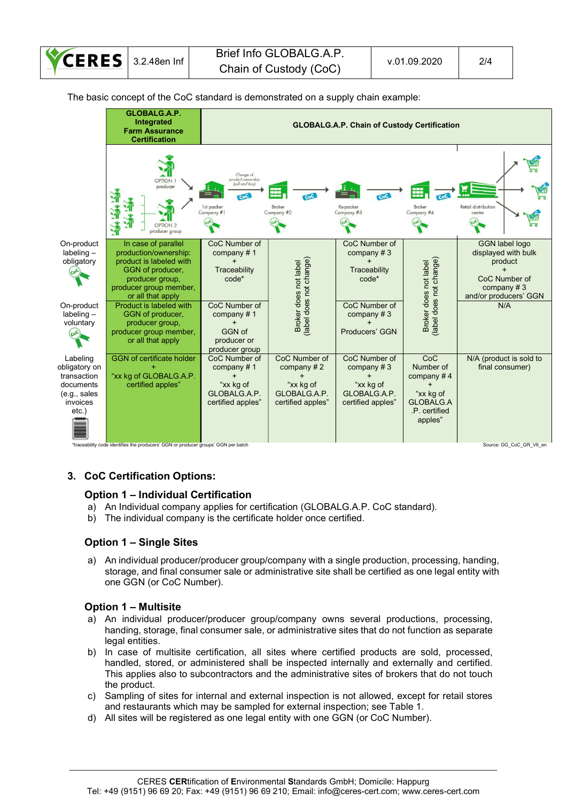

The basic concept of the CoC standard is demonstrated on a supply chain example:



## 3. CoC Certification Options:

## Option 1 – Individual Certification

- a) An Individual company applies for certification (GLOBALG.A.P. CoC standard).
- b) The individual company is the certificate holder once certified.

## Option 1 – Single Sites

a) An individual producer/producer group/company with a single production, processing, handing, storage, and final consumer sale or administrative site shall be certified as one legal entity with one GGN (or CoC Number).

## Option 1 – Multisite

- a) An individual producer/producer group/company owns several productions, processing, handing, storage, final consumer sale, or administrative sites that do not function as separate legal entities.
- b) In case of multisite certification, all sites where certified products are sold, processed, handled, stored, or administered shall be inspected internally and externally and certified. This applies also to subcontractors and the administrative sites of brokers that do not touch the product.
- c) Sampling of sites for internal and external inspection is not allowed, except for retail stores and restaurants which may be sampled for external inspection; see Table 1.
- d) All sites will be registered as one legal entity with one GGN (or CoC Number).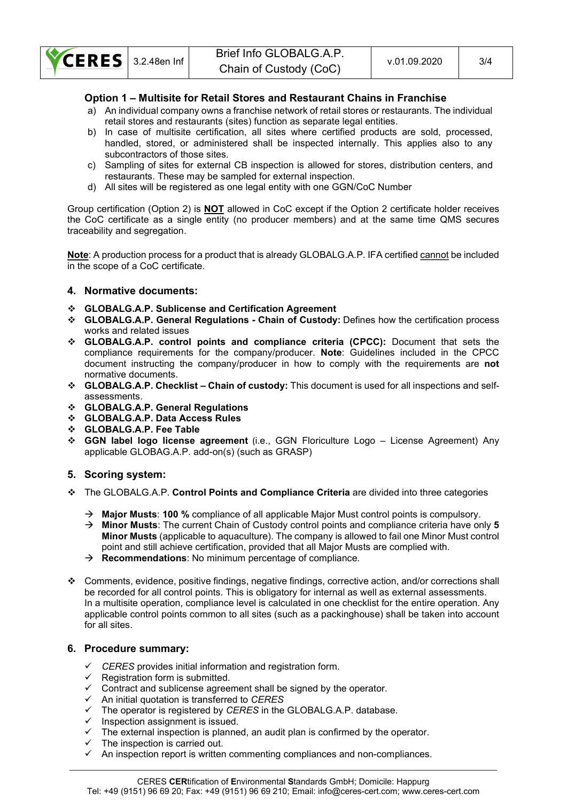

## Option 1 – Multisite for Retail Stores and Restaurant Chains in Franchise

- a) An individual company owns a franchise network of retail stores or restaurants. The individual retail stores and restaurants (sites) function as separate legal entities.
- b) In case of multisite certification, all sites where certified products are sold, processed, handled, stored, or administered shall be inspected internally. This applies also to any subcontractors of those sites.
- c) Sampling of sites for external CB inspection is allowed for stores, distribution centers, and restaurants. These may be sampled for external inspection.
- d) All sites will be registered as one legal entity with one GGN/CoC Number

Group certification (Option 2) is **NOT** allowed in CoC except if the Option 2 certificate holder receives the CoC certificate as a single entity (no producer members) and at the same time QMS secures traceability and segregation.

Note: A production process for a product that is already GLOBALG.A.P. IFA certified cannot be included in the scope of a CoC certificate.

## 4. Normative documents:

- GLOBALG.A.P. Sublicense and Certification Agreement
- GLOBALG.A.P. General Regulations Chain of Custody: Defines how the certification process works and related issues
- GLOBALG.A.P. control points and compliance criteria (CPCC): Document that sets the compliance requirements for the company/producer. Note: Guidelines included in the CPCC document instructing the company/producer in how to comply with the requirements are not normative documents.
- GLOBALG.A.P. Checklist Chain of custody: This document is used for all inspections and selfassessments.
- GLOBALG.A.P. General Regulations
- GLOBALG.A.P. Data Access Rules
- GLOBALG.A.P. Fee Table
- GGN label logo license agreement (i.e., GGN Floriculture Logo License Agreement) Any applicable GLOBAG.A.P. add-on(s) (such as GRASP)

## 5. Scoring system:

- \* The GLOBALG.A.P. Control Points and Compliance Criteria are divided into three categories
	- $\rightarrow$  Major Musts: 100 % compliance of all applicable Major Must control points is compulsory.
	- $\rightarrow$  Minor Musts: The current Chain of Custody control points and compliance criteria have only 5 Minor Musts (applicable to aquaculture). The company is allowed to fail one Minor Must control point and still achieve certification, provided that all Major Musts are complied with.
	- $\rightarrow$  **Recommendations**: No minimum percentage of compliance.
- Comments, evidence, positive findings, negative findings, corrective action, and/or corrections shall be recorded for all control points. This is obligatory for internal as well as external assessments. In a multisite operation, compliance level is calculated in one checklist for the entire operation. Any applicable control points common to all sites (such as a packinghouse) shall be taken into account for all sites.

## 6. Procedure summary:

- $\checkmark$  CERES provides initial information and registration form.
- $\checkmark$  Registration form is submitted.
- $\checkmark$  Contract and sublicense agreement shall be signed by the operator.
- $\checkmark$  An initial quotation is transferred to CERES
- $\checkmark$  The operator is registered by CERES in the GLOBALG.A.P. database.
- $\checkmark$  Inspection assignment is issued.
- $\checkmark$  The external inspection is planned, an audit plan is confirmed by the operator.
- $\checkmark$  The inspection is carried out.
- $\checkmark$  An inspection report is written commenting compliances and non-compliances.